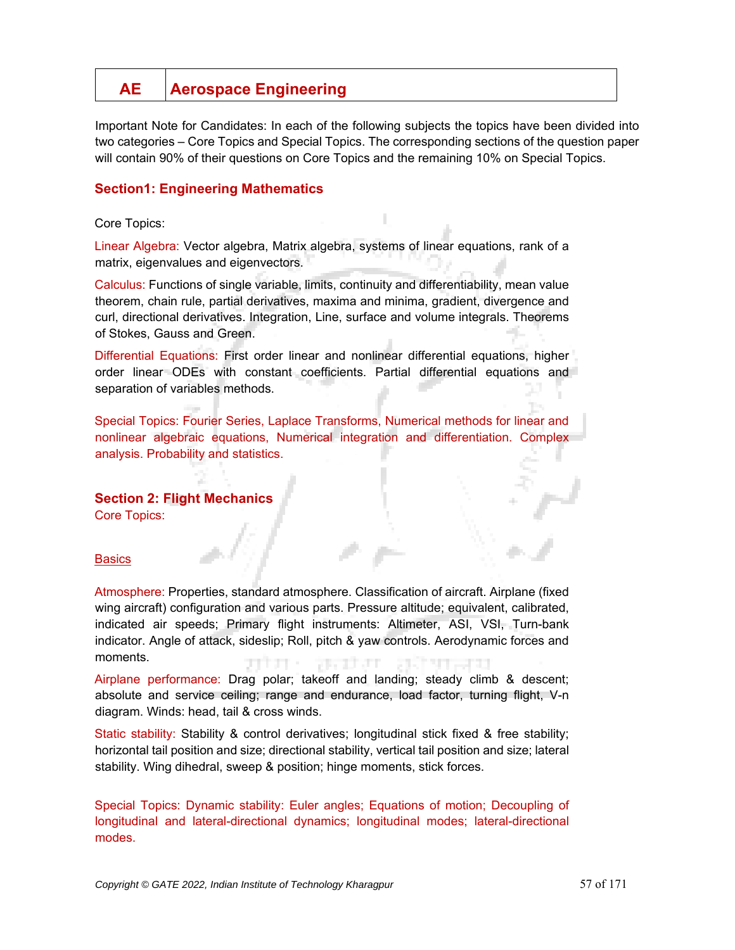# **AE Aerospace Engineering**

Important Note for Candidates: In each of the following subjects the topics have been divided into two categories – Core Topics and Special Topics. The corresponding sections of the question paper will contain 90% of their questions on Core Topics and the remaining 10% on Special Topics.

# **Section1: Engineering Mathematics**

## Core Topics:

Linear Algebra: Vector algebra, Matrix algebra, systems of linear equations, rank of a matrix, eigenvalues and eigenvectors.

Calculus: Functions of single variable, limits, continuity and differentiability, mean value theorem, chain rule, partial derivatives, maxima and minima, gradient, divergence and curl, directional derivatives. Integration, Line, surface and volume integrals. Theorems of Stokes, Gauss and Green.

Differential Equations: First order linear and nonlinear differential equations, higher order linear ODEs with constant coefficients. Partial differential equations and separation of variables methods.

Special Topics: Fourier Series, Laplace Transforms, Numerical methods for linear and nonlinear algebraic equations, Numerical integration and differentiation. Complex analysis. Probability and statistics.

## **Section 2: Flight Mechanics**

Core Topics:

#### **Basics**

Atmosphere: Properties, standard atmosphere. Classification of aircraft. Airplane (fixed wing aircraft) configuration and various parts. Pressure altitude; equivalent, calibrated, indicated air speeds; Primary flight instruments: Altimeter, ASI, VSI, Turn-bank indicator. Angle of attack, sideslip; Roll, pitch & yaw controls. Aerodynamic forces and moments. 78 - 78 - 79

Airplane performance: Drag polar; takeoff and landing; steady climb & descent; absolute and service ceiling; range and endurance, load factor, turning flight, V-n diagram. Winds: head, tail & cross winds.

Static stability: Stability & control derivatives; longitudinal stick fixed & free stability; horizontal tail position and size; directional stability, vertical tail position and size; lateral stability. Wing dihedral, sweep & position; hinge moments, stick forces.

Special Topics: Dynamic stability: Euler angles; Equations of motion; Decoupling of longitudinal and lateral-directional dynamics; longitudinal modes; lateral-directional modes.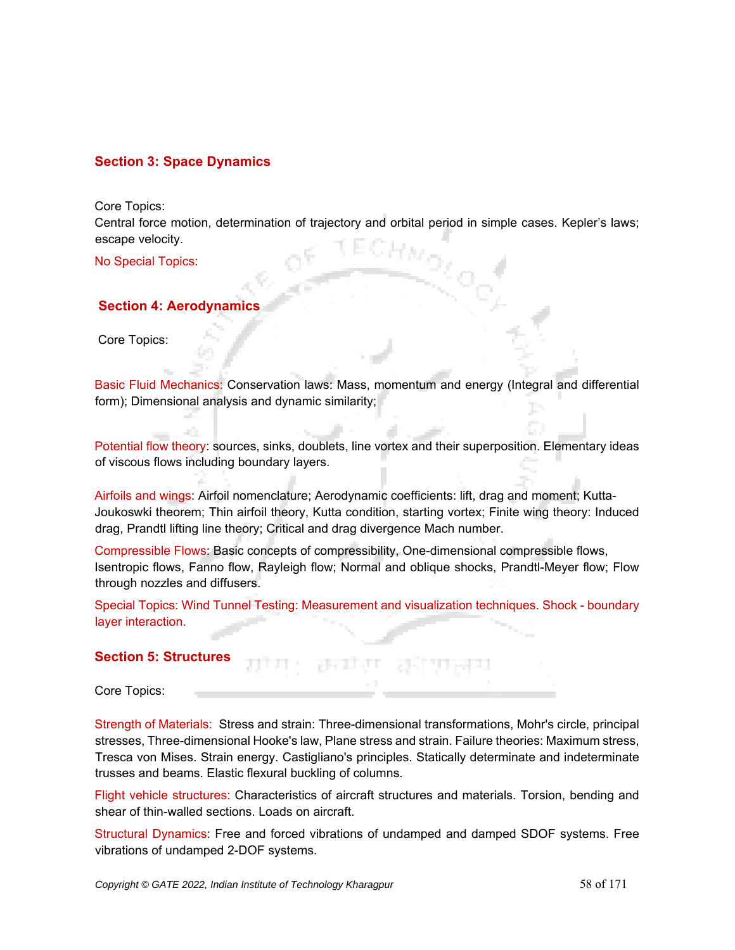# **Section 3: Space Dynamics**

Core Topics:

Central force motion, determination of trajectory and orbital period in simple cases. Kepler's laws; escape velocity.

No Special Topics:

## **Section 4: Aerodynamics**

Core Topics:

Basic Fluid Mechanics: Conservation laws: Mass, momentum and energy (Integral and differential form); Dimensional analysis and dynamic similarity;

Potential flow theory: sources, sinks, doublets, line vortex and their superposition. Elementary ideas of viscous flows including boundary layers.

Airfoils and wings: Airfoil nomenclature; Aerodynamic coefficients: lift, drag and moment; Kutta-Joukoswki theorem; Thin airfoil theory, Kutta condition, starting vortex; Finite wing theory: Induced drag, Prandtl lifting line theory; Critical and drag divergence Mach number.

Compressible Flows: Basic concepts of compressibility, One-dimensional compressible flows, Isentropic flows, Fanno flow, Rayleigh flow; Normal and oblique shocks, Prandtl-Meyer flow; Flow through nozzles and diffusers.

Special Topics: Wind Tunnel Testing: Measurement and visualization techniques. Shock - boundary layer interaction.

## **Section 5: Structures**

Core Topics:

Strength of Materials: Stress and strain: Three-dimensional transformations, Mohr's circle, principal stresses, Three-dimensional Hooke's law, Plane stress and strain. Failure theories: Maximum stress, Tresca von Mises. Strain energy. Castigliano's principles. Statically determinate and indeterminate trusses and beams. Elastic flexural buckling of columns.

Flight vehicle structures: Characteristics of aircraft structures and materials. Torsion, bending and shear of thin-walled sections. Loads on aircraft.

Structural Dynamics: Free and forced vibrations of undamped and damped SDOF systems. Free vibrations of undamped 2-DOF systems.